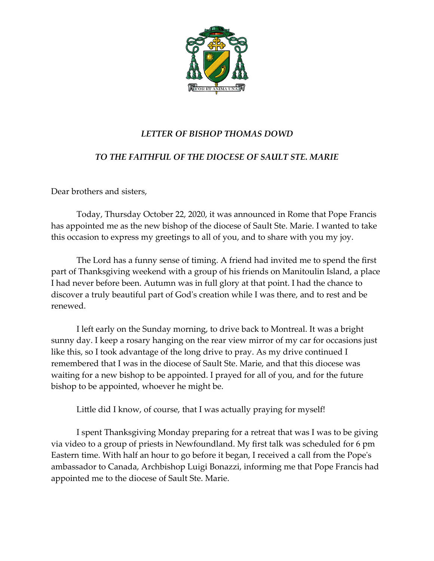

## *LETTER OF BISHOP THOMAS DOWD*

## *TO THE FAITHFUL OF THE DIOCESE OF SAULT STE. MARIE*

Dear brothers and sisters,

Today, Thursday October 22, 2020, it was announced in Rome that Pope Francis has appointed me as the new bishop of the diocese of Sault Ste. Marie. I wanted to take this occasion to express my greetings to all of you, and to share with you my joy.

The Lord has a funny sense of timing. A friend had invited me to spend the first part of Thanksgiving weekend with a group of his friends on Manitoulin Island, a place I had never before been. Autumn was in full glory at that point. I had the chance to discover a truly beautiful part of God's creation while I was there, and to rest and be renewed.

I left early on the Sunday morning, to drive back to Montreal. It was a bright sunny day. I keep a rosary hanging on the rear view mirror of my car for occasions just like this, so I took advantage of the long drive to pray. As my drive continued I remembered that I was in the diocese of Sault Ste. Marie, and that this diocese was waiting for a new bishop to be appointed. I prayed for all of you, and for the future bishop to be appointed, whoever he might be.

Little did I know, of course, that I was actually praying for myself!

I spent Thanksgiving Monday preparing for a retreat that was I was to be giving via video to a group of priests in Newfoundland. My first talk was scheduled for 6 pm Eastern time. With half an hour to go before it began, I received a call from the Pope's ambassador to Canada, Archbishop Luigi Bonazzi, informing me that Pope Francis had appointed me to the diocese of Sault Ste. Marie.